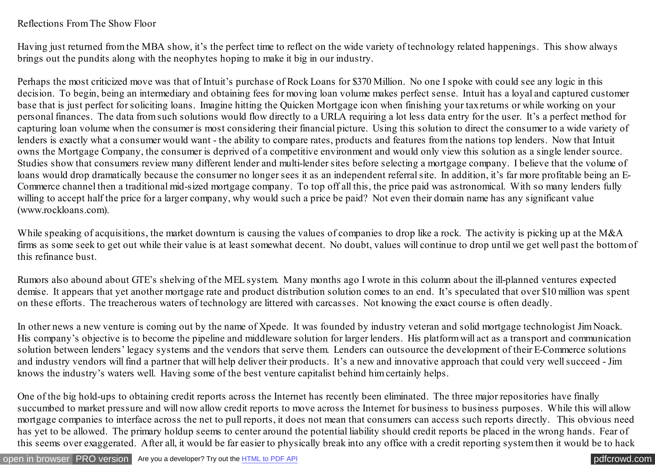## Reflections From The Show Floor

Having just returned from the MBA show, it's the perfect time to reflect on the wide variety of technology related happenings. This show always brings out the pundits along with the neophytes hoping to make it big in our industry.

Perhaps the most criticized move was that of Intuit's purchase of Rock Loans for \$370 Million. No one I spoke with could see any logic in this decision. To begin, being an intermediary and obtaining fees for moving loan volume makes perfect sense. Intuit has a loyal and captured customer base that is just perfect for soliciting loans. Imagine hitting the Quicken Mortgage icon when finishing your tax returns or while working on your personal finances. The data from such solutions would flow directly to a URLA requiring a lot less data entry for the user. It's a perfect method for capturing loan volume when the consumer is most considering their financial picture. Using this solution to direct the consumer to a wide variety of lenders is exactly what a consumer would want - the ability to compare rates, products and features from the nations top lenders. Now that Intuit owns the Mortgage Company, the consumer is deprived of a competitive environment and would only view this solution as a single lender source. Studies show that consumers review many different lender and multi-lender sites before selecting a mortgage company. I believe that the volume of loans would drop dramatically because the consumer no longer sees it as an independent referral site. In addition, it's far more profitable being an E-Commerce channel then a traditional mid-sized mortgage company. To top off all this, the price paid was astronomical. With so many lenders fully willing to accept half the price for a larger company, why would such a price be paid? Not even their domain name has any significant value (www.rockloans.com).

While speaking of acquisitions, the market downturn is causing the values of companies to drop like a rock. The activity is picking up at the M&A firms as some seek to get out while their value is at least somewhat decent. No doubt, values will continue to drop until we get well past the bottom of this refinance bust.

Rumors also abound about GTE's shelving of the MEL system. Many months ago I wrote in this column about the ill-planned ventures expected demise. It appears that yet another mortgage rate and product distribution solution comes to an end. It's speculated that over \$10 million was spent on these efforts. The treacherous waters of technology are littered with carcasses. Not knowing the exact course is often deadly.

In other news a new venture is coming out by the name of Xpede. It was founded by industry veteran and solid mortgage technologist Jim Noack. His company's objective is to become the pipeline and middleware solution for larger lenders. His platform will act as a transport and communication solution between lenders' legacy systems and the vendors that serve them. Lenders can outsource the development of their E-Commerce solutions and industry vendors will find a partner that will help deliver their products. It's a new and innovative approach that could very well succeed - Jim knows the industry's waters well. Having some of the best venture capitalist behind him certainly helps.

One of the big hold-ups to obtaining credit reports across the Internet has recently been eliminated. The three major repositories have finally succumbed to market pressure and will now allow credit reports to move across the Internet for business to business purposes. While this will allow mortgage companies to interface across the net to pull reports, it does not mean that consumers can access such reports directly. This obvious need has yet to be allowed. The primary holdup seems to center around the potential liability should credit reports be placed in the wrong hands. Fear of this seems over exaggerated. After all, it would be far easier to physically break into any office with a credit reporting system then it would be to hack